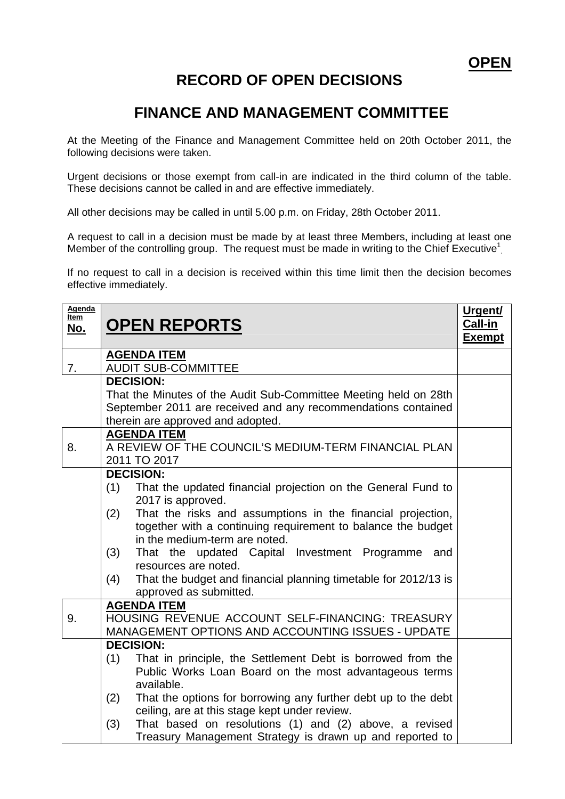## **RECORD OF OPEN DECISIONS**

## **FINANCE AND MANAGEMENT COMMITTEE**

At the Meeting of the Finance and Management Committee held on 20th October 2011, the following decisions were taken.

Urgent decisions or those exempt from call-in are indicated in the third column of the table. These decisions cannot be called in and are effective immediately.

All other decisions may be called in until 5.00 p.m. on Friday, 28th October 2011.

A request to call in a decision must be made by at least three Members, including at least one Member of the controlling group. The request must be made in writing to the Chief Executive<sup>1</sup>

If no request to call in a decision is received within this time limit then the decision becomes effective immediately.

| Agenda<br>Item<br><u>No.</u> | <b>OPEN REPORTS</b>                                                                                                                                                                                                                                                                                                                                                                                                                                                         | Urgent/<br>Call-in<br><u>Exempt</u> |
|------------------------------|-----------------------------------------------------------------------------------------------------------------------------------------------------------------------------------------------------------------------------------------------------------------------------------------------------------------------------------------------------------------------------------------------------------------------------------------------------------------------------|-------------------------------------|
| 7.                           | <b>AGENDA ITEM</b><br><b>AUDIT SUB-COMMITTEE</b>                                                                                                                                                                                                                                                                                                                                                                                                                            |                                     |
|                              | <b>DECISION:</b><br>That the Minutes of the Audit Sub-Committee Meeting held on 28th<br>September 2011 are received and any recommendations contained<br>therein are approved and adopted.                                                                                                                                                                                                                                                                                  |                                     |
| 8.                           | <b>AGENDA ITEM</b><br>A REVIEW OF THE COUNCIL'S MEDIUM-TERM FINANCIAL PLAN<br>2011 TO 2017                                                                                                                                                                                                                                                                                                                                                                                  |                                     |
|                              | <b>DECISION:</b><br>(1)<br>That the updated financial projection on the General Fund to<br>2017 is approved.<br>That the risks and assumptions in the financial projection,<br>(2)<br>together with a continuing requirement to balance the budget<br>in the medium-term are noted.<br>That the updated Capital Investment Programme and<br>(3)<br>resources are noted.<br>That the budget and financial planning timetable for 2012/13 is<br>(4)<br>approved as submitted. |                                     |
| 9.                           | <b>AGENDA ITEM</b><br>HOUSING REVENUE ACCOUNT SELF-FINANCING: TREASURY<br>MANAGEMENT OPTIONS AND ACCOUNTING ISSUES - UPDATE                                                                                                                                                                                                                                                                                                                                                 |                                     |
|                              | <b>DECISION:</b><br>That in principle, the Settlement Debt is borrowed from the<br>(1)<br>Public Works Loan Board on the most advantageous terms<br>available.<br>That the options for borrowing any further debt up to the debt<br>(2)<br>ceiling, are at this stage kept under review.<br>That based on resolutions (1) and (2) above, a revised<br>(3)<br>Treasury Management Strategy is drawn up and reported to                                                       |                                     |